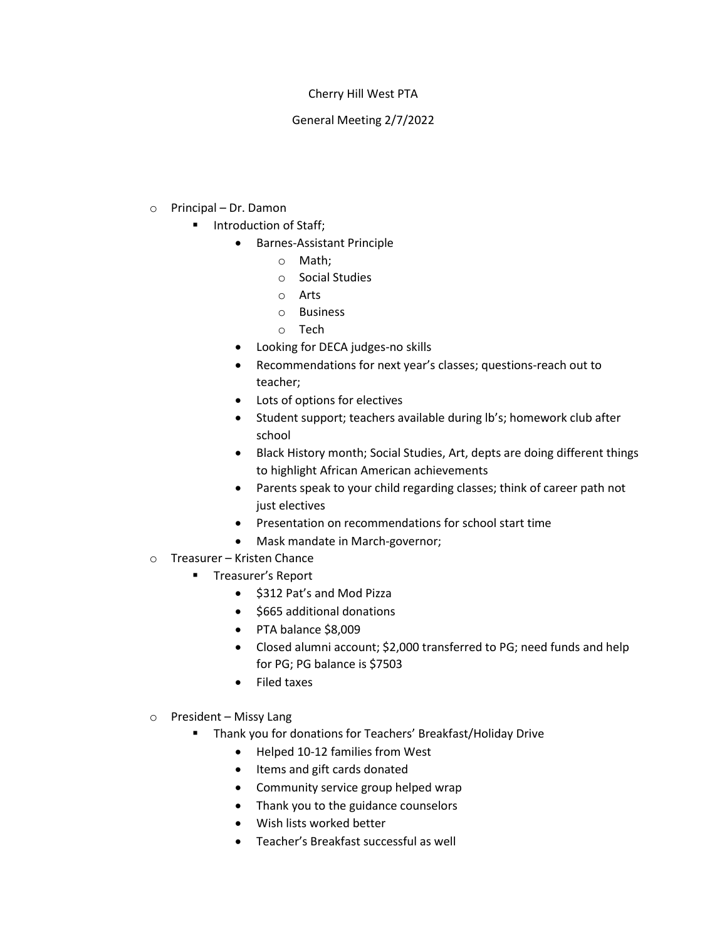## Cherry Hill West PTA

## General Meeting 2/7/2022

- o Principal Dr. Damon
	- Introduction of Staff;
		- Barnes-Assistant Principle
			- o Math;
			- o Social Studies
			- o Arts
			- o Business
			- o Tech
		- Looking for DECA judges-no skills
		- Recommendations for next year's classes; questions-reach out to teacher;
		- Lots of options for electives
		- Student support; teachers available during lb's; homework club after school
		- Black History month; Social Studies, Art, depts are doing different things to highlight African American achievements
		- Parents speak to your child regarding classes; think of career path not just electives
		- Presentation on recommendations for school start time
		- Mask mandate in March-governor;
- o Treasurer Kristen Chance
	- Treasurer's Report
		- \$312 Pat's and Mod Pizza
		- \$665 additional donations
		- PTA balance \$8,009
		- Closed alumni account; \$2,000 transferred to PG; need funds and help for PG; PG balance is \$7503
		- Filed taxes
- o President Missy Lang
	- Thank you for donations for Teachers' Breakfast/Holiday Drive
		- Helped 10-12 families from West
		- Items and gift cards donated
		- Community service group helped wrap
		- Thank you to the guidance counselors
		- Wish lists worked better
		- Teacher's Breakfast successful as well